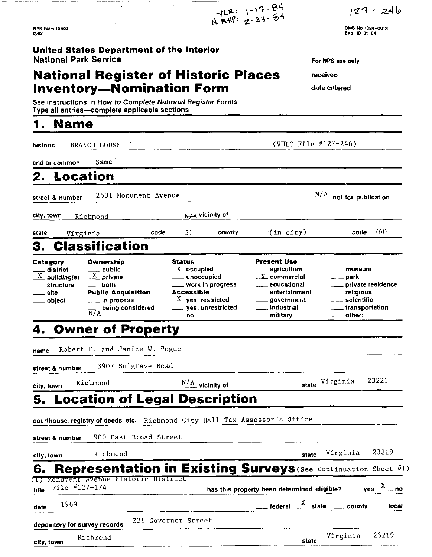$127 - 246$ 

OM6 **No.1024-0018 Erp. 10-31-84** 

**NPS Form 10-900**  $(3-32)$ 

**United States Department of the Interior**  National **Park Service** 

# **National Register of Historic Places** received **Inventory-Nomination Form** date entered

# **1. Name**

| See instructions in How to Complete National Register Forms<br>Type all entries---complete applicable sections                                                                                                             |                                                                                                                                                        |                                                                                                                                                |                                                                                                    |
|----------------------------------------------------------------------------------------------------------------------------------------------------------------------------------------------------------------------------|--------------------------------------------------------------------------------------------------------------------------------------------------------|------------------------------------------------------------------------------------------------------------------------------------------------|----------------------------------------------------------------------------------------------------|
| <b>Name</b>                                                                                                                                                                                                                |                                                                                                                                                        |                                                                                                                                                |                                                                                                    |
| <b>BRANCH HOUSE</b><br>historic                                                                                                                                                                                            |                                                                                                                                                        | (VHLC File $#127-246$ )                                                                                                                        |                                                                                                    |
| Same<br>and or common                                                                                                                                                                                                      |                                                                                                                                                        |                                                                                                                                                |                                                                                                    |
| Location                                                                                                                                                                                                                   |                                                                                                                                                        |                                                                                                                                                |                                                                                                    |
| 2501 Monument Avenue<br>street & number                                                                                                                                                                                    |                                                                                                                                                        | N/A                                                                                                                                            | not for publication                                                                                |
| city, town<br>Richmond                                                                                                                                                                                                     | $N/A$ vicinity of                                                                                                                                      |                                                                                                                                                |                                                                                                    |
| state<br>Virginia                                                                                                                                                                                                          | code<br>51<br>county                                                                                                                                   | (in city)                                                                                                                                      | 760<br>code                                                                                        |
| <b>Classification</b><br>3.                                                                                                                                                                                                |                                                                                                                                                        |                                                                                                                                                |                                                                                                    |
| Ownership<br>Category<br>district<br>public<br>$\frac{X}{X}$ private<br>$\frac{X}{X}$ building(s)<br>structure<br>both<br><b>Public Acquisition</b><br>site<br><sub>—</sub> object<br>being considered<br>$\overline{N/A}$ | <b>Status</b><br>$X$ occupied<br>unoccupied.<br>work in progress<br><b>Accessible</b><br>$\underline{X}$ yes: restricted<br>—… yes: unrestricted<br>no | <b>Present Use</b><br>agriculture<br>$\ldots$ X $\ldots$ commercial<br>educational<br>entertainment<br>__ government<br>industrial<br>military | museum<br>$=$ $=$ park<br>__ private residence<br>____ scientific<br>$\_$ transportation<br>other: |
| <b>Owner of Property</b>                                                                                                                                                                                                   |                                                                                                                                                        |                                                                                                                                                |                                                                                                    |
| Robert E. and Janice W. Pogue<br>name                                                                                                                                                                                      |                                                                                                                                                        |                                                                                                                                                |                                                                                                    |
| 3902 Sulgrave Road<br>street & number                                                                                                                                                                                      |                                                                                                                                                        |                                                                                                                                                |                                                                                                    |
| Richmond<br>city town                                                                                                                                                                                                      | $\frac{N/A}{N}$ vicinity of                                                                                                                            | state                                                                                                                                          | 23221<br>Virginia                                                                                  |
| <b>Location of Legal Description</b><br>5.                                                                                                                                                                                 |                                                                                                                                                        |                                                                                                                                                |                                                                                                    |
| courthouse, registry of deeds, etc. Richmond City Hall Tax Assessor's Office                                                                                                                                               |                                                                                                                                                        |                                                                                                                                                |                                                                                                    |
| 900 East Broad Street<br>street & number                                                                                                                                                                                   |                                                                                                                                                        |                                                                                                                                                |                                                                                                    |
| Richmond                                                                                                                                                                                                                   |                                                                                                                                                        |                                                                                                                                                | 23219<br>Virginia                                                                                  |
| city, town<br><b>Representation in Existing Surveys (See Continuation Sheet #1)</b>                                                                                                                                        |                                                                                                                                                        | state                                                                                                                                          |                                                                                                    |
| 6.<br>Monument Avenue Historic District<br>File #127-174<br>title                                                                                                                                                          |                                                                                                                                                        |                                                                                                                                                | has this property been determined eligible? $\frac{X}{1}$ yes $\frac{X}{1}$ no                     |
| 1969<br>date                                                                                                                                                                                                               |                                                                                                                                                        |                                                                                                                                                | federal $\frac{X}{X}$ state _____ county ______ local                                              |
| depository for survey records                                                                                                                                                                                              | 221 Governor Street                                                                                                                                    |                                                                                                                                                |                                                                                                    |
| Richmond                                                                                                                                                                                                                   |                                                                                                                                                        | state                                                                                                                                          | 23219<br>Virginia                                                                                  |

 $7128:1-17-84$ <br>NRHP: 2-23-84

For NPS **use** only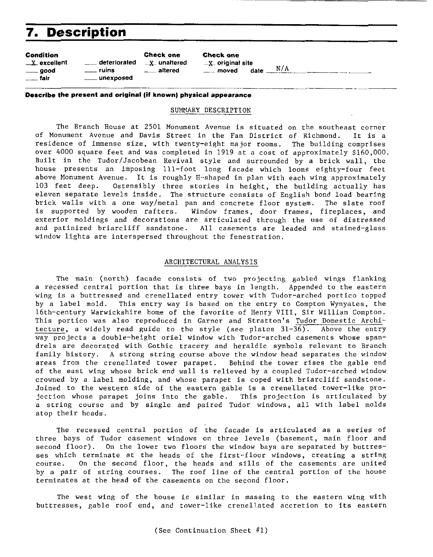# **7. Description**

|                                                         | <i>I</i> . Description                                           |                                                       |                                                                  |                  |
|---------------------------------------------------------|------------------------------------------------------------------|-------------------------------------------------------|------------------------------------------------------------------|------------------|
| Condition<br>$\_$ $X$ excellent<br>____ good<br>── fair | <sub>__</sub> _ deteriorated<br>$\equiv$ ruins<br>____ unexposed | <b>Check one</b><br><b>X</b> unaltered<br>___ altered | <b>Check one</b><br>$\mathbf{X}$ original site<br>$\equiv$ moved | date $\_\!\_N/A$ |

**Describe the present and original (if known) physical appearance** 

#### SUMMARY DESCRIPTION

-

The Branch House at 2501 Monument Avenue is situated on the southeast corner of Monument Avenue and Davis Street in the Fan District of Richmond. It is a residence of immense size, with twenty-eight major rooms. The building comprises over 4000 square feet and was completed in 1919 at a cost of approximately \$160,000. Built in the Tudor/Jacobean Revival style and surrounded by a brick wall, the house presents an imposing ill-foot long facade which looms eighty-four feet above Monument Avenue. It is roughly H-shaped in plan with each wing approximately 103 feet deep. Ostensibly three stories in height, the building actually has eleven separate levels inside. The structure consists of English bond load bearing brick walls with a one waylmetal pan and concrete floor system. The slate roof is supported by wooden rafters. Window frames, door frames, fireplaces, and exterior moldings and decorations are articulated through the use of distressed and patinized briarcliff sandstone. All casements are leaded and stained-glass window lights are interspersed throughout the fenestration.

#### ARCHITECTURAL ANALYSIS

The main (north) facade consists of two projecting gabled wings flanking a recessed central portion that is three bays in length. Appended to the eastern wing is a buttressed and crenellated entry tower with Tudor-arched portico topped by a label mold. This entry way is based on the entry to Compton Wynyates, the 16th-century Warwickshire home of the favorite of Henry VIII, Sir William Compton. This portico was also reproduced in Garner and Stratton's Tudor Domestic Architecture, a widely read guide to the style (see plates 31-36). Above the entry way projects a double-height oriel window with Tudor-arched casements whose spandrels are decorated with Gothic tracery and heraldic symbols relevant to Branch family history. A strong string course above the window head separates the window areas from the crenellated tower parapet. Behind the tower rises the gable end of the east wing whose brick end wall is relieved by a coupled Tudor-arched window crowned by a label molding, and whose parapet is coped with briarcliff sandstone. Joined to the western side of the eastern gable is a crenellated tower-like projection whose parapet joins into the gable. This projection is articulated by a string course and by single and paired Tudor windows, all with label molds atop their heads.

The recessed central portion of the facade is articulated as a series of three bays of Tudor casement windows on three levels (basement, main floor and second floor). On the lower two floors the window bays are separated by buttresses which terminate at the heads of the first-floor windows, creating a string course. On the second floor, the heads and sills of the casements are united by a pair of string courses. The roof line of the central portion of the house terminates at the head of the casements on the second floor.

The west wing of the house is similar in massing to the eastern wing with buttresses, gable roof end, and tower-like crenellated accretion to its eastern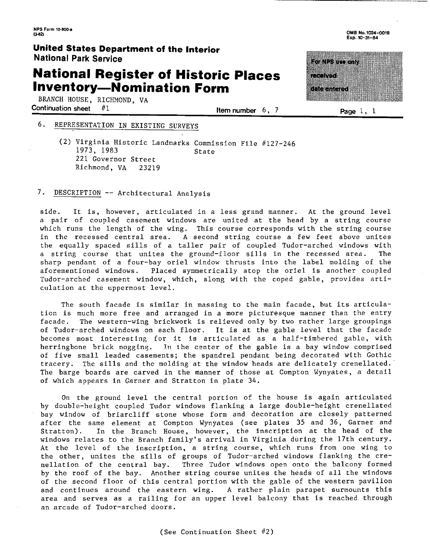# **National Register of Historic Places Inventory-Nomination Form**

BRANCH HOUSE, RICHMOND, VA Continuation sheet  $#1$  **Item number 6, 7 Page 1, 1** 

### *6.* REPRESENTATION IN EXISTING SURVEYS

*(2)* Virginia Historic Landmarks Commission File *//127-246*  1973, 1983 **State** *221* Governor Street Richmond, VA *23219* 

#### 7. DESCRIPTION -- Architectural Analysis

side. It is, however, articulated in a less grand manner. At the ground level a pair of coupled casement windows are united at the head by a string course which runs the length of the wing. This course corresponds with the string course in the recessed central area. A second string course a few feet above unites the equally spaced sills of a taller pair of coupled Tudor-arched windows with a string course that unites the ground-floor sills in the recessed area. The sharp pendant of a four-bay oriel window thrusts into the label molding of the aforementioned windows. Placed symmetrically atop the oriel is another coupled Tudor-arched casement window, which, along with the coped gable, provides articulation at the uppermost level.

The south facade is similar in massing to the main facade, but its articulation is much more free and arranged in a more picturesque manner than the entry facade. The western-wing brickwork is relieved only by two rather large groupings of Tudor-arched windows on each floor. It is at the gable level that the facade becomes most interesting for it is articulated as a half-timbered gable, with herringbone brick nogging. In the center of the gable is a bay window comprised of five small leaded casements; the spandrel pendant being decorated with Gothic tracery. The sills and the molding at the window heads are delicately crenellated. The barge boards are carved in the manner of those at Compton Wynyates, a detail of which appears in Garner and Stratton in plate *34.* 

On the ground level the central portion of the house is again articulated by double-height coupled Tudor windows flanking a large double-height crenellated bay window of briarcliff stone whose form and decoration are closely patterned after the same element at Compton Wynyates (see plates *35* and *36,* Garner and Stratton). In the Branch House, however, the inscription at the head of the windows relates to the Branch family's arrival in Virginia during the 17th century. At the level of the inscription, a string course, which runs from one wing to the other, unites the sills of groups of Tudor-arched windows flanking the crenellation of the central bay. Three Tudor windows open onto the balcony formed by the roof of the bay. Another string course unites the heads of all the windows of the second floor of this central portion with the gable of the western pavilion and continues around the eastern wing. A rather plain parapet surmounts this area and serves as a railing for an upper level balcony that is reached through an arcade of Tudor-arched doors.

ES BERTAN 777799 un angka



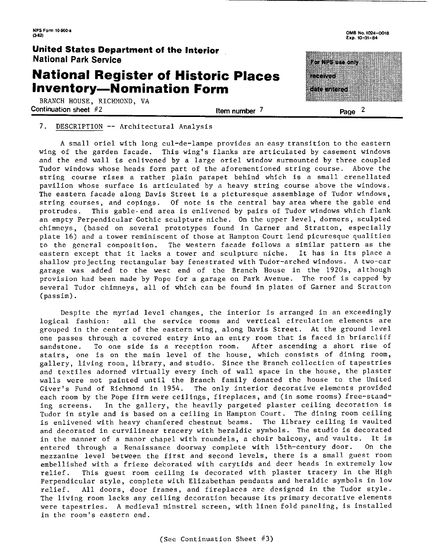## **National Register of Historic Places Inventory-Nomination Form**

BRANCH HOUSE. RICHMOND. VA **Continuation sheet**  $#2$  **Page 2 Item number <sup>7</sup> Page <sup>2</sup>** 



ro Nestas ann a a tha a ದರಿಗಾರಿದೆ) 

#### 7. DESCRIPTION -- Architectural Analysis

A small oriel with long cul-de-lampe provides an easy transition to the eastern wing of the garden facade. This wing's flanks are articulated by casement windows and the end wall is enlivened by a large oriel window surmounted by three coupled Tudor windows whose heads form part of the aforementioned string course. Above the string course rises a rather plain parapet behind which is a small crenellated pavilion whose surface is articulated by a heavy string course above the windows. The eastern facade along Davis Street is a picturesque assemblage of Tudor windows, string courses, and copings. Of note is the central bay area where the gable end protrudes. This gable-end area is enlivened by pairs of Tudor windows which flank an empty Perpendicular Gothic sculpture niche. On the upper level, dormers, sculpted chimneys, (based on several prototypes found in Garner and Stratton, especially plate 16) and a tower reminiscent of those at Hampton Court lend picuresque qualities to the general composition. The western facade follows a similar pattern as the eastern except that it lacks a tower and sculpture niche. It has in its place a shallow projecting rectangular bay fenestrated with Tudor-arched windows. A two-car garage was added to the west end of the Branch House in the 1920s, although provision had been made by Pope for a garage on Park Avenue. The roof is capped by several Tudor chimneys, all of which can be found in plates of Garner and Stratton (passim).

Despite the myriad level changes, the interior is arranged in an exceedingly logical fashion: all the service rooms and vertical circulation elements are grouped in the center of the eastern wing, along Davis Street. At the ground level one passes through a covered entry into an entry room that is faced in briarcliff sandstone. To one side is a reception room. After ascending a short rise of stairs, one is on the main level of the house, which consists of dining room, gallery, living room, library, and studio. Since the Branch collecticn of tapestries and textiles adorned virtually every inch of wall space in the house, the plaster walls were not painted until the Branch family donated the house to the United Giver's Fund of Richmond in 1954. The only interior decorative elements provided each room by the Pope firm were ceilings, fireplaces, and (in some rooms) free-standing screens. In the gallery, the heavily pargeted plaster ceiling decoration is Tudor in style and is based on a ceiling in Hampton Court. The dining room ceiling is enlivened with heavy chamfered chestnut beams. The library ceiling is vaulted and decorated in curvilinear tracery with heraldic symbols. The studio is decorated in the manner of a manor chapel with roundels, a choir balcony, and vaults. It is entered through a Renaissance doorway complete with 15th-century door. On the mezzanine level between the first and second levels, there is a small guest room embellished with a frieze decorated with carytids and deer heads in extremely low relief. This guest room ceiling is decorated with plaster tracery in the High Perpendicular style, complete with Elizabethan pendants and heraldic symbols in low relief. All doors, door frames, and fireplaces are designed in the Tudor style. The living room lacks any ceiling decoration because its primary decorative elements were tapestries. A medieval minstrel screen, with linen fold paneling, is installed in the room's eastern end.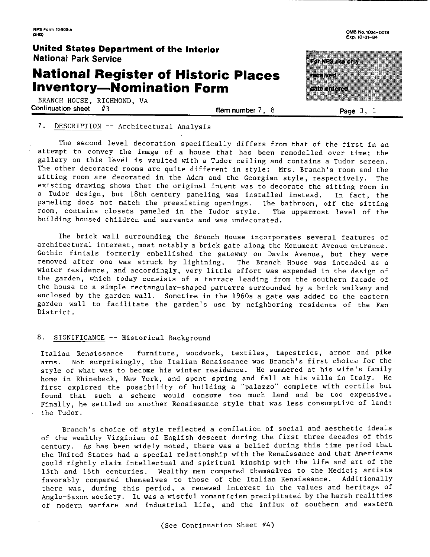# **National Register of Historic Places Inventory-Nomination Form**

BRANCH HOUSE, RICHMOND, VA<br>Continuation sheet #3

 $\frac{113}{2}$  **Page 3, 1** Item number 7, 8 **Page 3**, 1

OMB No. 1024-0018 Exp. 10-31-84

# saliswo ak ma wa 1 a ta wasa

#### 7. DESCRIPTION -- Architectural Analysis

The second level decoration specifically differs from that of the first in an attempt to convey the image of a house that has been remodelled over time; the gallery on this level is vaulted with a Tudor ceiling and contains a Tudor screen. The other decorated rooms are quite different in style: Mrs. Branch's room and the sitting room are decorated in the Adam and the Georgian style, respectively. The existing drawing shows that the original intent was to decorate the sitting room in a Tudor design, but 18th-century paneling was installed instead. In fact, the paneling does not match the preexisting openings. The bathroom, off the sitting room, contains closets paneled in the Tudor style. The uppermost level of the building housed children and servants and was undecorated.

The brick wall surrounding the Branch House incorporates several features of architectural interest, most notably a brick gate along the Monument Avenue entrance. Gothic finials formerly embellished the gateway on Davis Avenue, but they were removed after one was struck by lightning. The Branch House was intended as a winter residence, and accordingly, very little effort was expended in the design of the garden, which today consists of a terrace leading from the southern facade of the house to a simple rectangular-shaped parterre surrounded by a brick walkway and enclosed by the garden wall. Sometime in the 1960s a gate was added to the eastern garden wall to facilitate the garden's use by neighboring residents of the Fan District.

#### 8. SIGNIFICANCE -- Historical Background

Italian Renaissance furniture, woodwork, textiles, tapestries, armor and pike arms. Not surprisingly, the Italian Renaissance was Branch's first choice for the. style of what was to become his winter residence. He summered at his wife's family home in Rhinebeck, New York, and spent spring and fall at his villa in Italy. He first explored the possibility of building a "palazzo" complete with cortile but found that such a scheme would consume too much land and be too expensive. Finally, he settled on another Renaissance style that was less consumptive of land: the Tudor.

Branch's choice of style reflected a conflation of social and aesthetic ideals of the wealthy Virginian of English descent during the first three decades of this century. As has been widely noted, there was a belief during this time period that the United States had a special relationship with the Renaissance and that Americans could rightly claim intellectual and spiritual kinship with the life and art of the 15th and 16th centuries. Wealthy men compared themselves to the Medici; artists favorably compared themselves to those of the Italian Renaissance. Additionally there was, during this period, a renewed interest in the values and heritage of Anglo-Saxon society. It was a wistful romanticism precipitated by the harsh realities of modern warfare and industrial life, and the influx of southern and eastern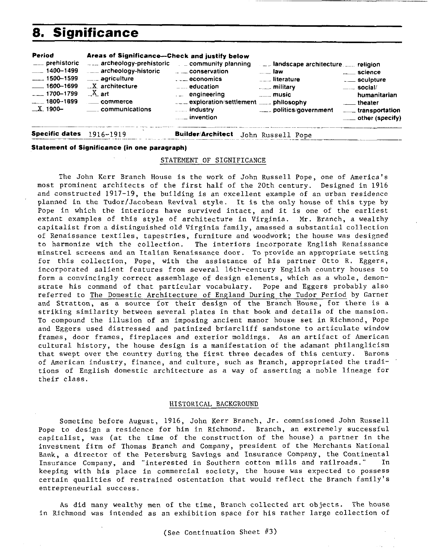# **8. Significance**

| Period<br>___ prehistoric<br>$-1400 - 1499$<br>$\frac{1}{2}$ 1500 - 1599<br>$-1600 - 1699$<br>$-1700 - 1799$<br>$-1800 - 1899$<br>$\_X$ . 1900- | Areas of Significance---Check and justify below<br>$\equiv$ archeology-prehistoric $\equiv$ = community planning<br>⊥⊥ archeology-historic<br><sub>----</sub> agriculture<br>$X$ architecture<br>$X$ art<br>_____ communications | — — conservation<br>$\overline{\phantom{a}}$ economics<br>$\mathsf{L}_{\mathsf{L}}$ education<br>engineering<br>exploration/settlement  philosophy<br><b>Election</b> industry | Let landscape architecture. Let religion<br>……… law<br>$\mathcal{L}_{\text{max}}$ literature<br>$\frac{1}{2}$ military<br>$\overline{\phantom{a}}$ music<br>____ politics/government | $\equiv$ social/<br>humanitarian<br>theater theater<br>transportation<br>$\equiv$ other (specify) |
|-------------------------------------------------------------------------------------------------------------------------------------------------|----------------------------------------------------------------------------------------------------------------------------------------------------------------------------------------------------------------------------------|--------------------------------------------------------------------------------------------------------------------------------------------------------------------------------|--------------------------------------------------------------------------------------------------------------------------------------------------------------------------------------|---------------------------------------------------------------------------------------------------|
| Specific dates $1916 - 1919$                                                                                                                    |                                                                                                                                                                                                                                  | <b>Builder/Architect</b>                                                                                                                                                       | John Russell Pope                                                                                                                                                                    |                                                                                                   |

**Specific dates** 1916-1919

#### **Statement of Significance (in one paragraph)**

#### STATEMENT OF SIGNIFICANCE

The John Kerr Branch House is the work of John Russell Pope, one of America's most prominent architects of the first half of the 20th century. Designed in 1916 and constructed 1917-19, the building is an excellent example of an urban residence planned in the Tudor/Jacobean Revival style. It is the only house of this type by Pope in which the interiors have survived intact, and it is one of the earliest extant examples of this style of architecture in Virginia. Mr. Branch, a wealthy capitalist from a distinguished old Virginia family, amassed a substantial collection of Renaissance textiles, tapestries, furniture and woodwork; the house was designed to harmonize with the collection. The interiors incorporate English Renaissance minstrel screens and an Italian Renaissance door. To provide an appropriate setting for this collection, Pope, with the assistance of his partner Otto R. Eggers, incorporated salient features from several 16th-century English country houses to form a convincingly correct assemblage of design elements, which as a whole, demonstrate his command of that particular vocabulary. Pope and Eggers probably also referred to The Domestic Architecture of England During the Tudor Period by Garner and Stratton, as a source for their design of the Branch House, for there is a striking similarity between several plates in that book and details of the mansion. To compound the illusion of an imposing ancient manor house set in Richmond, Pope and Eggers used distressed and patinized briarcliff sandstone to articulate window frames, door frames, fireplaces and exterior moldings. As an artifact of American cultural history, the house design is a manifestation of the adamant philanglicism that swept over the country during the first three decades of this century. Barons of American industry, finance, and culture, such as Branch, appropriated the traditions of English domestic architecture as a way of asserting a noble lineage for their class.

#### HISTORICAL BACKGROUND

Sometime before August, 1916, John Kerr Branch. Jr. commissioned John Russell Pope to design a residence for him in Richmond. Branch, an extremely successful capitalist, was (at the time of the construction of the house) a partner in the investment firm of Thomas Branch and Company, president of the Merchants National Bank, a director of the Petersburg Savings and Insurance Company, the Continental Insurance Company, and "interested in Southern cotton mills and railroads." In keeping with his place in commercial society, the house was expected to possess certain qualities of restrained ostentation that would reflect the Branch family's entrepreneurial success.

As did many wealthy men of the time, Branch collected art objects. The house in Richmond was intended as an exhibition space for his rather large collection of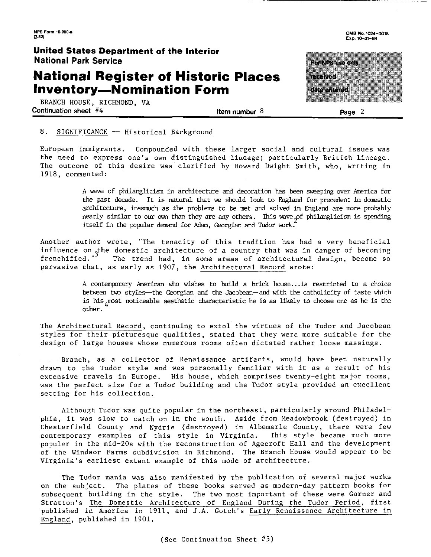## **National Register of Historic Places Inventory-Nomination Form**

BRANCH HOUSE, RICHMOND, VA Continuation sheet #4 **Item number 8** Page 2

For M2S and only **TERRATOR** an an an S

#### 8. SIGNIFICANCE -- Historical Background

European immigrants. Compounded with these larger social and cultural issues was the need to express one's own distinguished lineage; particularly British lineage. The outcome of this desire was clarified by Howard Dwight Smith, who, writing in 1918, commented:

> **A** wave of philanglicim in architecture and decoration has been sweeping over America for the past decade. It is natural that we should look to England for precedent in domestic architecture, inasmuch as the problems to be met and solved in England are more probably nearly similar to our own than they are any others. This wave of philanglicism is spending *jtself* in the popular demand for Adam, Georgian and Tudor work.

Another author wrote, "The tenacity of this tradition has had a very beneficial influence on the domestic architecture of a country that was in danger of becoming<br>frenchified." The trend had, in some areas of architectural design, become so The trend had, in some areas of architectural design, become so pervasive that, as early as 1907, the Architectural Record wrote:

> A contemporary American who wishes to build a brick house...is restricted to a choice between two styles-the Georgian and the Jacobean-and with the catholicity of taste which is his  $\mu$  most noticeable aesthetic characteristic he is as likely to choose one as he is the other. *<sup>4</sup>*

The Architectural Record, continuing to extol the virtues of the Tudor and Jacobean styles for their picturesque qualities, stated that they were more suitable for the design of large houses whose numerous rooms often dictated rather loose massings.

Branch, as a collector of Renaissance artifacts, would have been naturally drawn to the Tudor style and was personally familiar with it as a result of his extensive travels in Europe. His house, which comprises twenty-eight major rooms, was the perfect size for a Tudor building and the Tudor style provided an excellent setting for his collection.

Although Tudor was quite popular in the northeast, particularly around Philadelphia, it was slow to catch on in the south. Aside from Meadowbrook (destroyed) in Chesterfield County and Nydrie (destroyed) in Albemarle County, there were few contemporary examples of this style in Virginia. This style became much more popular in the mid-20s with the reconstruction of Agecroft Hall and the development of the Windsor Farms subdivision in Richmond. The Branch House would appear to be Virginia's earliest extant example of this mode of architecture.

The Tudor mania was also manifested by the publication of several major works on the subject. The plates of these books served as modern-day pattern books for subsequent building in the style. The two most important of these were Garner and Stratton's The Domestic Architecture of England During the Tudor Period, first published in America in 1911, and J.A. Gotch's Early Renaissance Architecture in England, published in 1901.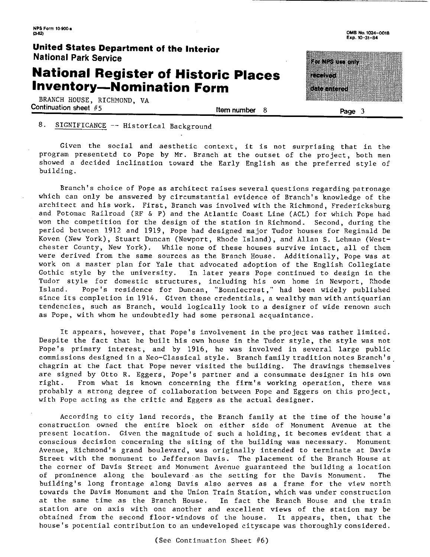# **National Register of Historic Places Inventory-Nomination Form**

BRANCH HOUSE, RICHMOND, VA Continuation sheet #5 Item number

**number** 8 **Paae 3** 

**OMS No.1024-W18**  *Exp.* **10-31-84** 

# a mata a sa <u>mana a</u> ata tanan

## 8. SIGNIFICANCE -- Historical Background

Given the social and aesthetic context, it is not surprising that in the program presentetd to Pope by Mr. Branch at the outset of the project, both men showed a decided inclination toward the Early English as the preferred style of building.

Branch's choice of Pope as architect raises several questions regarding patronage which can only be answered by circumstantial evidence of Branch's knowledge of the architect and his work. First, Branch was involved with the Richmond, Fredericksburg and Potomac Railroad (RF & P) and the Atlantic Coast Line (ACL) for which Pope had won the competition for the design of the station in Richmond. Second, during the period between 1912 and 1919, Pope had designed major Tudor houses for Reginald De Koven (New York), Stuart Duncan (Newport, Rhode Island), and Allan S. Lehman (Westchester County, New York). While none of these houses survive intact, all of them were derived from the same sources as the Branch House. Additionally, Pope was at work on a master plan for Yale that advocated adoption of the English Collegiate Gothic style by the university. In later years Pope continued to design in the Tudor style for domestic structures, including his own home in Newport, Rhode Island. Pope's residence for Duncan, "Bonniecrest," had been widely published since its completion in 1914. Given these credentials, a wealthy man with antiquarian tendencies, such as Branch, would logically look to a designer of wide renown such as Pope, with whom he undoubtedly had some personal acquaintance.

It appears, however, that Pope's involvement in the project was rather limited. Despite the fact that he built his own house in the Tudor style, the style was not Pope's primary interest, and by 1916, he was involved in several large public commissions designed in a Neo-Classical style. Branch family tradition notes Branch's, chagrin at the fact that Pope never visited the building. The drawings themselves are signed by Otto R. Eggers, Pope's partner and a consummate designer in his own right. From what is known concerning the firm's working operation, there was probably a strong degree of collaboration between Pope and Eggers on this project, with Pope acting as the critic and Eggers as the actual designer.

According to city land records, the Branch family at the time of the house's construction owned the entire block on either side of Monument Avenue at the present location. Given the magnitude of such a holding, it becomes evident that a conscious decision concerning the siting of the building was necessary. Monument Avenue, Richmond's grand boulevard, was originally intended to terminate at Davis Street with the monument to Jefferson Davis. The placement of the Branch House at the corner of Davis Street and Monument Avenue guaranteed the building a location of prominence along the boulevard as the setting for the Davis Monument. The building's long frontage along Davis also serves as a frame for the view north towards the Davis Monument and the Union Train Station, which was under construction at the same time as the Branch House. In fact the Branch House and the train station are on axis with one another and excellent views of the station may be obtained from the second floor-windows of the house. It appears, then, that the house's potential contribution to an undeveloped cityscape was thoroughly considered.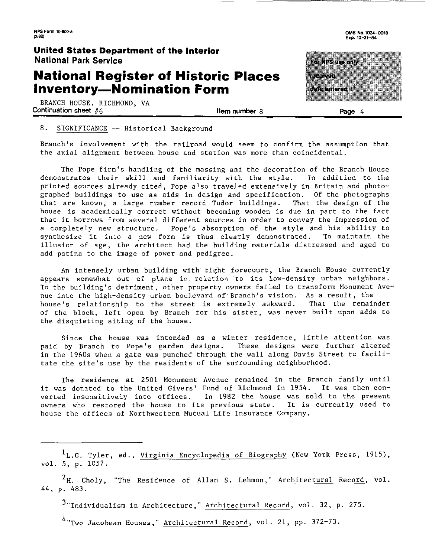## **National Register of Historic Places Inventory-Nomination Form**

BRANCH HOUSE, RICHMOND, VA Continuation sheet  $#6$  **Item number 8** Page 4

OMB **No.1024-Wl8 EXP. 10-31-84** 

conversion com

reen ad

aso ataw 

#### 8. SIGNIFICANCE -- Historical Background

Branch's involvement with the railroad would seem to confirm the assumption that the axial alignment between house and station was more than coincidental.

The Pope firm's handling of the massing and the decoration of the Branch House demonstrates their skill and familiarity with the style. In addition to the printed sources already cited, Pope also traveled extensively in Britain and photographed buildings to use as aids in design and specification. Of the photographs that are known, a large number record Tudor buildings. That the design of the house is academically correct without becoming wooden is due in part to the fact that it borrows from several different sources in order to convey the impression of a completely new structure. Pope's absorption of the style and his ability to<br>synthesize it into a new form is thus clearly demonstrated. To maintain the synthesize it into a new form is thus clearly demonstrated. illusion of age, the architect had the building materials distressed and aged to add patina to the image of power and pedigree.

An intensely urban building with tight forecourt, the Branch House currently appears somewhat out of place in relation to its low-density urban neighbors. To the building's detriment, other property owners failed to transform Monument Avenue into the high-density urban boulevard of Branch's vision. As a result, the house's relationship to the street is extremely awkward. That the remainder of the block, left open by Branch for his sister, was never built upon adds to the disquieting siting of the house.

Since the house was intended as a winter residence, little attention was paid by Branch to Pope's garden designs. These designs were further altered in the 1960s when a gate was punched through the wall along Davis Street to facilitate the site's use by the residents of the surrounding neighborhood.

The residence at 2501 Monument Avenue remained in the Branch family until it was donated to the United Givers' Fund of Richmond in 1954. It was then converted insensitively into offices. In 1982 the house was sold to the present owners who restored the house to its previous state. It is currently used to house the offices of Northwestern Mutual Life Insurance Company.

 $1_L.G.$  Tyler, ed., Virginia Encyclopedia of Biography (New York Press, 1915), vol. 5, p. 1057.

 $^{2}$ H. Choly, "The Residence of Allan S. Lehmon," Architectural Record, vol. 44, p. 483.

 $3$ "Individualism in Architecture," Architectural Record, vol. 32, p. 275.

<sup>4</sup> "Two Jacobean Houses," Architectural Record, vol. 21, pp. 372-73.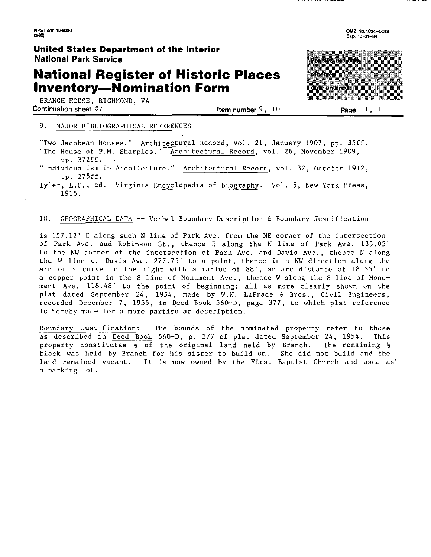# **National Register of Historic Places Inventory-Nomination Form**

BRANCH HOUSE. RICHMOND. VA Continuation sheet  $#7$  is the number 9, 10 Page 1, 1

## OMB No. 1024-0018

Exp. 10-31-84

# ra 1840an 733 a kacamatan Ing

#### 9. MAJOR BIBLIOGRAPHICAL REFERENCES

"Two Jacobean Houses." Architectural Record, vol. 21, January 1907, pp. 35ff.

"The House of P.M. Sharples." Architectural Record, vol. 26, November 1909, pp. 372ff.

"Individualism in Architecture." Architectural Record, vol. 32, October 1912, pp. 275ff.

Tyler, L.G., ed. Virginia Encyclopedia of Biography. Vol. 5, New York Press, 1915.

#### 10. GEOGRAPHICAL DATA -- Verbal Boundary Description & Boundary Justification

is 157.12' E along such N line of Park Ave. from the NE corner of the intersection of Park Ave. and Robinson St., thence E along the N line of Park Ave. 135.05' to the **NW** corner of the intersection of Park Ave. and Davis Ave., thence N along the W line of Davis Ave. 277.75' to a point, thence in a **NW** direction along the arc of a curve to the right with a radius of 88', an arc distance of 18.55' to a copper point in the S line of Monument Ave., thence W along the S line of Monument Ave. 118.48' to the point of beginning; all as more clearly shown on the plat dated September 24, 1954, made by W.W. LaPrade & Bros., Civil Engineers, recorded December 7, 1955, in Deed Book 560-D, page 377, to which plat reference is hereby made for a more particular description.

Boundary Justification: The bounds of the nominated property refer to those as described in Deed Book 560-D, p. 377 of plat dated September 24, 1954. This property constitutes  $\frac{1}{2}$  of the original land held by Branch. The remaining  $\frac{1}{2}$ block was held by Branch for his sister to build on. She did not build and the land remained vacant. It is now owned by the First Baptist Church and used as' a parking lot.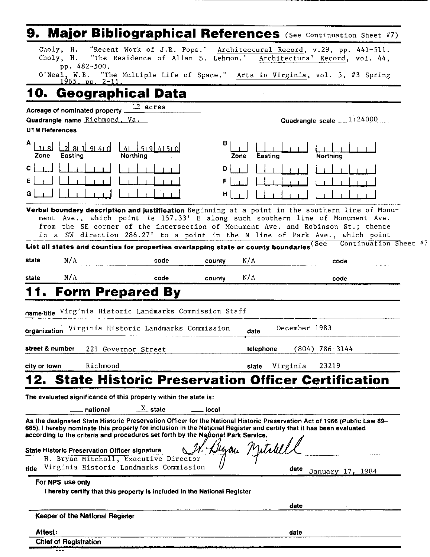|           |                        |                                                                  | <b>Major Bibliographical References</b> (See Continuation Sheet #7)                                                                                                                                                                                                                                                                                                                                                           |             |                |                |               |                            |                       |  |
|-----------|------------------------|------------------------------------------------------------------|-------------------------------------------------------------------------------------------------------------------------------------------------------------------------------------------------------------------------------------------------------------------------------------------------------------------------------------------------------------------------------------------------------------------------------|-------------|----------------|----------------|---------------|----------------------------|-----------------------|--|
|           | Choly, H.<br>Choly, H. | pp. 482-500.                                                     | "Recent Work of J.R. Pope." Architectural Record, v.29, pp. 441-511.<br>"The Residence of Allan S. Lehmon." Architectural Record, vol. 44,                                                                                                                                                                                                                                                                                    |             |                |                |               |                            |                       |  |
|           | O'Neal, W.B.           | <u> 1965. pp. 2-11.</u>                                          | "The Multiple Life of Space." Arts in Virginia, vol. 5, #3 Spring                                                                                                                                                                                                                                                                                                                                                             |             |                |                |               |                            |                       |  |
| 10.       |                        |                                                                  | Geographical Data                                                                                                                                                                                                                                                                                                                                                                                                             |             |                |                |               |                            |                       |  |
|           | <b>UTM References</b>  | Acreage of nominated property .<br>Quadrangle name Richmond, Va. | 12 acres                                                                                                                                                                                                                                                                                                                                                                                                                      |             |                |                |               | Quadrangle scale $1:24000$ |                       |  |
| A<br>Zone | -11 S I<br>Easting     | <b>91410</b>                                                     | 519 41510<br>Northing                                                                                                                                                                                                                                                                                                                                                                                                         | в           | Zone           | <b>Easting</b> |               | Northing                   |                       |  |
|           |                        |                                                                  |                                                                                                                                                                                                                                                                                                                                                                                                                               | D<br>F<br>н |                |                |               |                            |                       |  |
|           |                        |                                                                  | Verbal boundary description and justification Beginning at a point in the southern line of Monu-<br>ment Ave., which point is 157.33' E along such southern line of Monument Ave.<br>from the SE corner of the intersection of Monument Ave. and Robinson St.; thence<br>in a SW direction 286.27' to a point in the N line of Park Ave., which point                                                                         |             |                |                |               |                            |                       |  |
|           |                        |                                                                  | List all states and counties for properties overlapping state or county boundaries <sup>(See</sup>                                                                                                                                                                                                                                                                                                                            |             |                |                |               |                            | Continuation Sheet #1 |  |
| state     | N/A                    |                                                                  | code                                                                                                                                                                                                                                                                                                                                                                                                                          | county      | N/A            |                |               | code                       |                       |  |
| state     | N/A                    |                                                                  | code                                                                                                                                                                                                                                                                                                                                                                                                                          | county      | N/A            |                |               | code                       |                       |  |
|           | organization           |                                                                  | <b>Form Prepared By</b><br>name/title Virginia Historic Landmarks Commission Staff<br>Virginia Historic Landmarks Commission                                                                                                                                                                                                                                                                                                  |             | date           |                | December 1983 |                            |                       |  |
|           | street & number        |                                                                  | 221 Governor Street                                                                                                                                                                                                                                                                                                                                                                                                           |             | telephone      |                |               | $(804)$ 786-3144           |                       |  |
|           | city or town           | Richmond                                                         |                                                                                                                                                                                                                                                                                                                                                                                                                               |             | state          | Virginia       |               | 23219                      |                       |  |
|           |                        |                                                                  | <b>State Historic Preservation Officer Certification</b>                                                                                                                                                                                                                                                                                                                                                                      |             |                |                |               |                            |                       |  |
|           |                        |                                                                  | The evaluated significance of this property within the state is:                                                                                                                                                                                                                                                                                                                                                              |             |                |                |               |                            |                       |  |
|           |                        | national                                                         | $\frac{X}{X}$ state                                                                                                                                                                                                                                                                                                                                                                                                           | local       |                |                |               |                            |                       |  |
|           |                        |                                                                  | As the designated State Historic Preservation Officer for the National Historic Preservation Act of 1966 (Public Law 89-<br>665). I hereby nominate this property for inclusion in the National Register and certify that it has been evaluated<br>according to the criteria and procedures set forth by the National Park Service.<br>State Historic Preservation Officer signature<br>H. Bryan Mitchell, Executive Director |             | Buzan Mitchell |                |               |                            |                       |  |
| title     |                        |                                                                  | Virginia Historic Landmarks Commission                                                                                                                                                                                                                                                                                                                                                                                        |             |                |                | date          | January 17, 1984           |                       |  |
|           | For NPS use only       |                                                                  | I hereby certify that this property is included in the National Register                                                                                                                                                                                                                                                                                                                                                      |             |                |                |               |                            |                       |  |
|           |                        |                                                                  |                                                                                                                                                                                                                                                                                                                                                                                                                               |             |                |                | date          |                            |                       |  |
|           |                        |                                                                  |                                                                                                                                                                                                                                                                                                                                                                                                                               |             |                |                |               |                            |                       |  |

| Keeper of the National Register |      |
|---------------------------------|------|
| <b>Attest:</b>                  | date |

|--|

 $\sim$ 

Chief of Registration . . ---